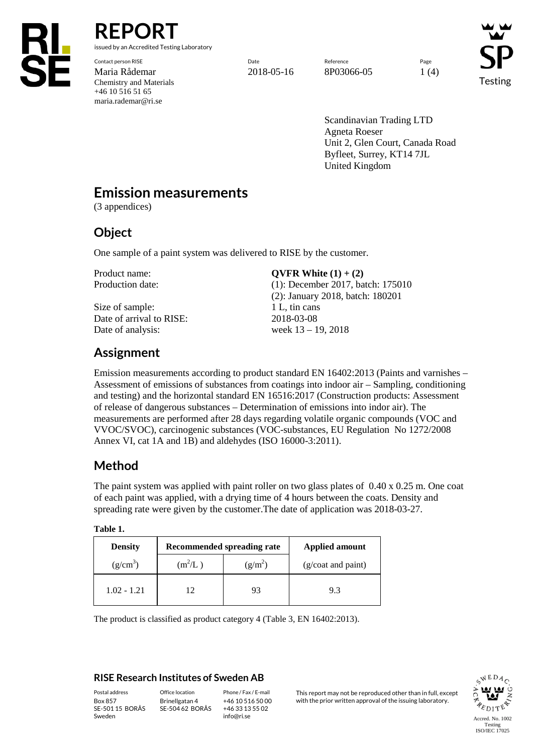

**REPORT** issued by an Accredited Testing Laboratory

Contact person RISE Page Reference Reference Reference Page Reference Page Reference Page Reference Reference Page Maria Rådemar 2018-05-16 8P03066-05 1 (4) Chemistry and Materials +46 10 516 51 65 maria.rademar@ri.se

Testing

Scandinavian Trading LTD Agneta Roeser Unit 2, Glen Court, Canada Road Byfleet, Surrey, KT14 7JL United Kingdom

## **Emission measurements**

(3 appendices)

## **Object**

One sample of a paint system was delivered to RISE by the customer.

Size of sample: 1 L, tin cans Date of arrival to RISE: 2018-03-08 Date of analysis: week  $13 - 19$ , 2018

Product name: **QVFR White (1)** + (2)

Production date: (1): December 2017, batch: 175010 (2): January 2018, batch: 180201

# **Assignment**

Emission measurements according to product standard EN 16402:2013 (Paints and varnishes – Assessment of emissions of substances from coatings into indoor air – Sampling, conditioning and testing) and the horizontal standard EN 16516:2017 (Construction products: Assessment of release of dangerous substances – Determination of emissions into indor air). The measurements are performed after 28 days regarding volatile organic compounds (VOC and VVOC/SVOC), carcinogenic substances (VOC-substances, EU Regulation No 1272/2008 Annex VI, cat 1A and 1B) and aldehydes (ISO 16000-3:2011).

# **Method**

The paint system was applied with paint roller on two glass plates of 0.40 x 0.25 m. One coat of each paint was applied, with a drying time of 4 hours between the coats. Density and spreading rate were given by the customer.The date of application was 2018-03-27.

| <b>Density</b> |           | Recommended spreading rate | <b>Applied amount</b> |
|----------------|-----------|----------------------------|-----------------------|
| $(g/cm^3)$     | $(m^2/L)$ | $(g/m^2)$                  | (g/coat and paint)    |
| $1.02 - 1.21$  |           | 93                         | 93                    |

The product is classified as product category 4 (Table 3, EN 16402:2013).

### **RISE Research Institutes of Sweden AB**

SE-501 15 BORÅS Sweden

Brinellgatan 4 SE-504 62 BORÅS

+46 10 516 50 00 +46 33 13 55 02 info@ri.se

Postal address Office location Phone / Fax / E-mail This report may not be reproduced other than in full, except<br>Box 857 Brinellgatan 4 +46 10 516 50 00 with the prior written approval of the issuing laboratory. with the prior written approval of the issuing laboratory.

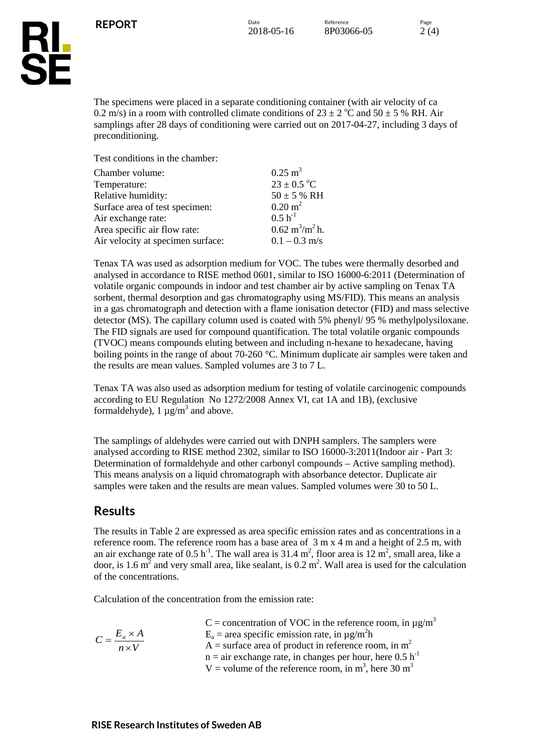

The specimens were placed in a separate conditioning container (with air velocity of ca 0.2 m/s) in a room with controlled climate conditions of  $23 \pm 2$  °C and  $50 \pm 5$  % RH. Air samplings after 28 days of conditioning were carried out on 2017-04-27, including 3 days of preconditioning.

Test conditions in the chamber:

| Chamber volume:                   | $0.25 \text{ m}^3$                       |
|-----------------------------------|------------------------------------------|
| Temperature:                      | $23 \pm 0.5$ °C                          |
| Relative humidity:                | $50 \pm 5$ % RH                          |
| Surface area of test specimen:    | $0.20 \text{ m}^2$                       |
| Air exchange rate:                | $0.5 h^{-1}$                             |
| Area specific air flow rate:      | $0.62 \text{ m}^3/\text{m}^2 \text{h}$ . |
| Air velocity at specimen surface: | $0.1 - 0.3$ m/s                          |

Tenax TA was used as adsorption medium for VOC. The tubes were thermally desorbed and analysed in accordance to RISE method 0601, similar to ISO 16000-6:2011 (Determination of volatile organic compounds in indoor and test chamber air by active sampling on Tenax TA sorbent, thermal desorption and gas chromatography using MS/FID). This means an analysis in a gas chromatograph and detection with a flame ionisation detector (FID) and mass selective detector (MS). The capillary column used is coated with 5% phenyl/ 95 % methylpolysiloxane. The FID signals are used for compound quantification. The total volatile organic compounds (TVOC) means compounds eluting between and including n-hexane to hexadecane, having boiling points in the range of about 70-260 °C. Minimum duplicate air samples were taken and the results are mean values. Sampled volumes are 3 to 7 L.

Tenax TA was also used as adsorption medium for testing of volatile carcinogenic compounds according to EU Regulation No 1272/2008 Annex VI, cat 1A and 1B), (exclusive formaldehyde),  $1 \mu g/m^3$  and above.

The samplings of aldehydes were carried out with DNPH samplers. The samplers were analysed according to RISE method 2302, similar to ISO 16000-3:2011(Indoor air - Part 3: Determination of formaldehyde and other carbonyl compounds – Active sampling method). This means analysis on a liquid chromatograph with absorbance detector. Duplicate air samples were taken and the results are mean values. Sampled volumes were 30 to 50 L.

### **Results**

The results in Table 2 are expressed as area specific emission rates and as concentrations in a reference room. The reference room has a base area of 3 m x 4 m and a height of 2.5 m, with an air exchange rate of  $0.5 \text{ h}^{-1}$ . The wall area is  $31.4 \text{ m}^2$ , floor area is  $12 \text{ m}^2$ , small area, like a door, is 1.6  $m^2$  and very small area, like sealant, is 0.2  $m^2$ . Wall area is used for the calculation of the concentrations.

Calculation of the concentration from the emission rate:

| C = concentration of VOC in the reference room, in $\mu$ g/m <sup>3</sup>    |
|------------------------------------------------------------------------------|
| $E_a$ = area specific emission rate, in $\mu$ g/m <sup>2</sup> h             |
| A = surface area of product in reference room, in $m2$                       |
| $n =$ air exchange rate, in changes per hour, here 0.5 h <sup>-1</sup>       |
| V = volume of the reference room, in m <sup>3</sup> , here 30 m <sup>3</sup> |
|                                                                              |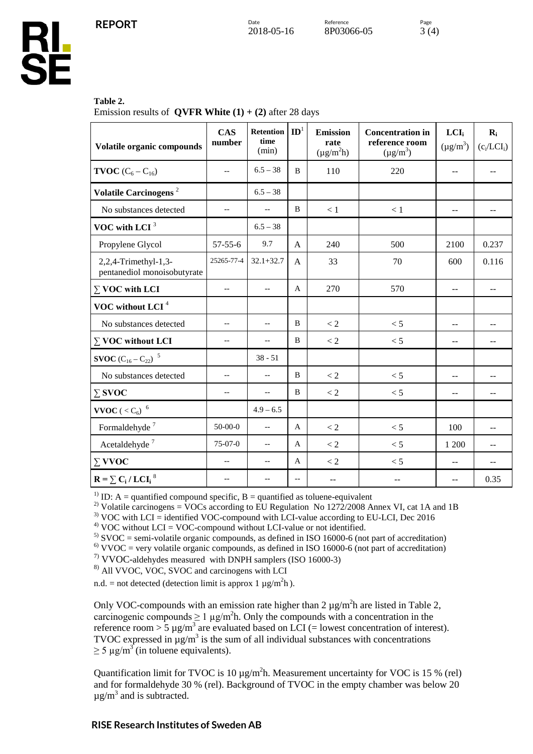

#### **Table 2.**

Emission results of **QVFR White**  $(1) + (2)$  after 28 days

| Volatile organic compounds                          | <b>CAS</b><br>number                                | Retention<br>time<br>(min) | $\mathbf{ID}^1$                                     | <b>Emission</b><br>rate<br>$(\mu g/m^2 h)$ | <b>Concentration in</b><br>reference room<br>$(\mu g/m^3)$ | LCI <sub>i</sub><br>$(\mu g/m^3)$ | $\mathbf{R}_{i}$<br>$(c_i/LCI_i)$ |
|-----------------------------------------------------|-----------------------------------------------------|----------------------------|-----------------------------------------------------|--------------------------------------------|------------------------------------------------------------|-----------------------------------|-----------------------------------|
| <b>TVOC</b> $(C_6 - C_{16})$                        | $-$                                                 | $6.5 - 38$                 | B                                                   | 110                                        | 220                                                        | $-$                               |                                   |
| Volatile Carcinogens <sup>2</sup>                   |                                                     | $6.5 - 38$                 |                                                     |                                            |                                                            |                                   |                                   |
| No substances detected                              | $-$                                                 | $\overline{a}$             | B                                                   | < 1                                        | $<1\,$                                                     | $\sim$ $\sim$                     | $-$                               |
| VOC with LCI $3$                                    |                                                     | $6.5 - 38$                 |                                                     |                                            |                                                            |                                   |                                   |
| Propylene Glycol                                    | $57 - 55 - 6$                                       | 9.7                        | $\overline{A}$                                      | 240                                        | 500                                                        | 2100                              | 0.237                             |
| 2,2,4-Trimethyl-1,3-<br>pentanediol monoisobutyrate | 25265-77-4                                          | $32.1 + 32.7$              | A                                                   | 33                                         | 70                                                         | 600                               | 0.116                             |
| $\Sigma$ VOC with LCI                               | $\hspace{0.05cm} -\hspace{0.05cm} -\hspace{0.05cm}$ | $- \, -$                   | A                                                   | 270                                        | 570                                                        | $\sim$ $-$                        | $-\,-$                            |
| VOC without LCI <sup>4</sup>                        |                                                     |                            |                                                     |                                            |                                                            |                                   |                                   |
| No substances detected                              | $-$                                                 | $-$                        | B                                                   | < 2                                        | < 5                                                        | $-$                               | $-$                               |
| $\Sigma$ VOC without LCI                            | $-$                                                 | $\overline{a}$             | B                                                   | $\lt 2$                                    | < 5                                                        | $-$                               |                                   |
| <b>SVOC</b> $(C_{16} - C_{22})^{-5}$                |                                                     | $38 - 51$                  |                                                     |                                            |                                                            |                                   |                                   |
| No substances detected                              | $-$                                                 | $-$                        | B                                                   | < 2                                        | < 5                                                        | $-$                               | --                                |
| $\Sigma$ SVOC                                       | $-$                                                 | $-$                        | B                                                   | $\lt 2$                                    | < 5                                                        | $-$                               | $\qquad \qquad -$                 |
| $\textbf{VVOC}$ ( $<\mathrm{C}_6\mathrm{)}^{-6}$    |                                                     | $4.9 - 6.5$                |                                                     |                                            |                                                            |                                   |                                   |
| Formaldehyde <sup>7</sup>                           | $50-00-0$                                           | $\overline{\phantom{a}}$   | A                                                   | $< 2$                                      | < 5                                                        | 100                               | $-$                               |
| Acetaldehyde <sup>7</sup>                           | 75-07-0                                             | $\overline{\phantom{a}}$   | A                                                   | < 2                                        | < 5                                                        | 1 200                             | $-$                               |
| $\Sigma$ VVOC                                       | $-$                                                 | $\overline{\phantom{a}}$   | A                                                   | $\lt 2$                                    | < 5                                                        | $\overline{a}$                    | $-$                               |
| $R = \sum C_i / LCI_i^8$                            | $-$                                                 | $-$                        | $\hspace{0.05cm} -\hspace{0.05cm} -\hspace{0.05cm}$ | $\overline{a}$                             | --                                                         | $\sim$                            | 0.35                              |

<sup>1)</sup> ID: A = quantified compound specific, B = quantified as toluene-equivalent<br><sup>2)</sup> Volatile carcinogens = VOCs according to EU Regulation No 1272/2008 Annex VI, cat 1A and 1B

<sup>3)</sup> VOC with LCI = identified VOC-compound with LCI-value according to EU-LCI, Dec 2016<br><sup>4)</sup> VOC without LCI = VOC-compound without LCI-value or not identified.<br><sup>5)</sup> SVOC = semi-volatile organic compounds, as defined in

 $^{7}$ ) VVOC-aldehydes measured with DNPH samplers (ISO 16000-3)

8) All VVOC, VOC, SVOC and carcinogens with LCI

n.d. = not detected (detection limit is approx 1  $\mu$ g/m<sup>2</sup>h).

Only VOC-compounds with an emission rate higher than  $2 \mu g/m^2 h$  are listed in Table 2, carcinogenic compounds  $\geq 1 \mu g/m^2 h$ . Only the compounds with a concentration in the reference room  $> 5 \mu g/m^3$  are evaluated based on LCI (= lowest concentration of interest). TVOC expressed in  $\mu$ g/m<sup>3</sup> is the sum of all individual substances with concentrations  $\geq$  5 µg/m<sup>3</sup> (in toluene equivalents).

Quantification limit for TVOC is 10  $\mu$ g/m<sup>2</sup>h. Measurement uncertainty for VOC is 15 % (rel) and for formaldehyde 30 % (rel). Background of TVOC in the empty chamber was below 20  $\mu$ g/m<sup>3</sup> and is subtracted.

### **RISE Research Institutes of Sweden AB**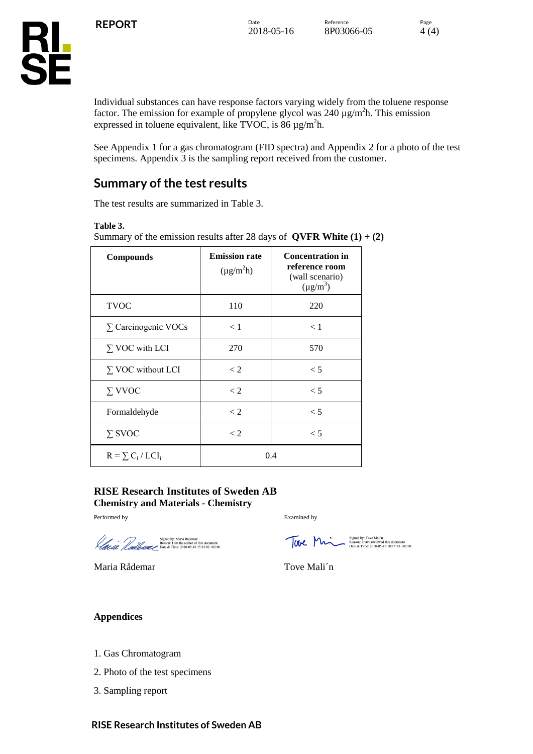

Individual substances can have response factors varying widely from the toluene response factor. The emission for example of propylene glycol was  $240 \mu g/m^2 h$ . This emission expressed in toluene equivalent, like TVOC, is 86  $\mu$ g/m<sup>2</sup>h.

See Appendix 1 for a gas chromatogram (FID spectra) and Appendix 2 for a photo of the test specimens. Appendix 3 is the sampling report received from the customer.

## **Summary of the test results**

The test results are summarized in Table 3.

#### **Table 3.**

Summary of the emission results after 28 days of  $QVFR White (1) + (2)$ 

| <b>Compounds</b>           | <b>Emission rate</b><br>$(\mu g/m^2 h)$ | <b>Concentration in</b><br>reference room<br>(wall scenario)<br>$(\mu g/m^3)$ |
|----------------------------|-----------------------------------------|-------------------------------------------------------------------------------|
| <b>TVOC</b>                | 110                                     | 220                                                                           |
| $\Sigma$ Carcinogenic VOCs | < 1                                     | < 1                                                                           |
| $\Sigma$ VOC with LCI      | 270                                     | 570                                                                           |
| $\Sigma$ VOC without LCI   | $\lt 2$                                 | $\leq 5$                                                                      |
| $\Sigma$ VVOC              | $\lt 2$                                 | $\leq 5$                                                                      |
| Formaldehyde               | $\lt 2$                                 | $\leq 5$                                                                      |
| $\Sigma$ SVOC              | $\lt 2$                                 | $\leq 5$                                                                      |
| $R = \sum C_i / LCI_i$     |                                         | 0.4                                                                           |

#### **RISE Research Institutes of Sweden AB Chemistry and Materials - Chemistry**

Performed by Examined by

Signed by: Maria Rådemar<br>
Reason: 1 am the author of this document<br>  $\pi$  Date & Time: 2018-05-16 15:32:02 +02:00

Maria Rådemar Tove Mali'n

For Market Time: 2018-05-16 18:15:03 +02:00

### **Appendices**

- 1. Gas Chromatogram
- 2. Photo of the test specimens
- 3. Sampling report

### **RISE Research Institutes of Sweden AB**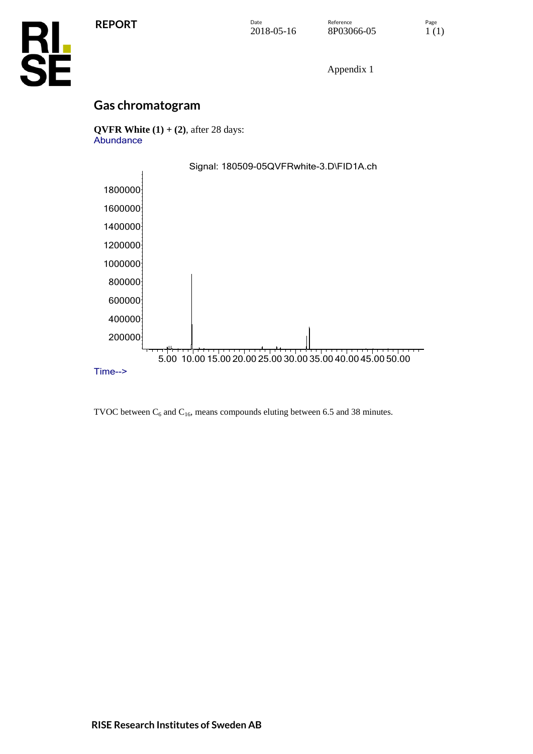

Appendix 1

## **Gas chromatogram**

**QVFR White (1) + (2)**, after 28 days: Abundance



TVOC between  $C_6$  and  $C_{16}$ , means compounds eluting between 6.5 and 38 minutes.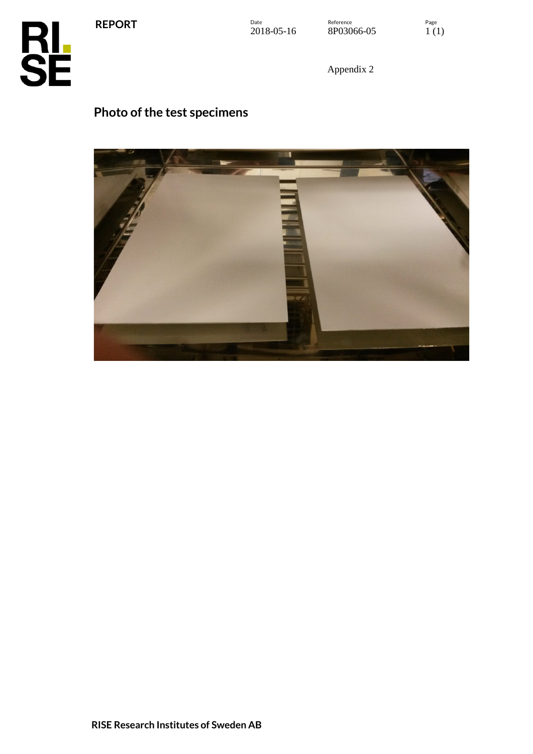**REPORT**





Appendix 2

# **Photo of the test specimens**